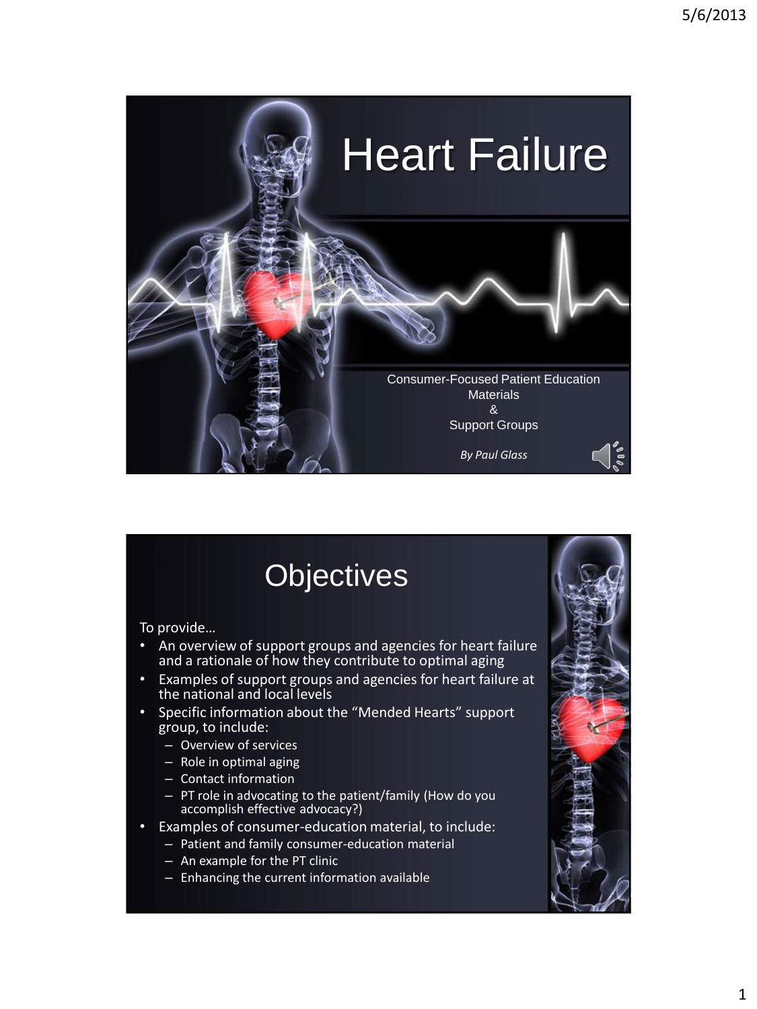

## **Objectives**

To provide…

- An overview of support groups and agencies for heart failure and a rationale of how they contribute to optimal aging
- Examples of support groups and agencies for heart failure at the national and local levels
- Specific information about the "Mended Hearts" support group, to include:
	- Overview of services
	- Role in optimal aging
	- Contact information
	- PT role in advocating to the patient/family (How do you accomplish effective advocacy?)
- Examples of consumer-education material, to include:
	- Patient and family consumer-education material
	- An example for the PT clinic
	- Enhancing the current information available

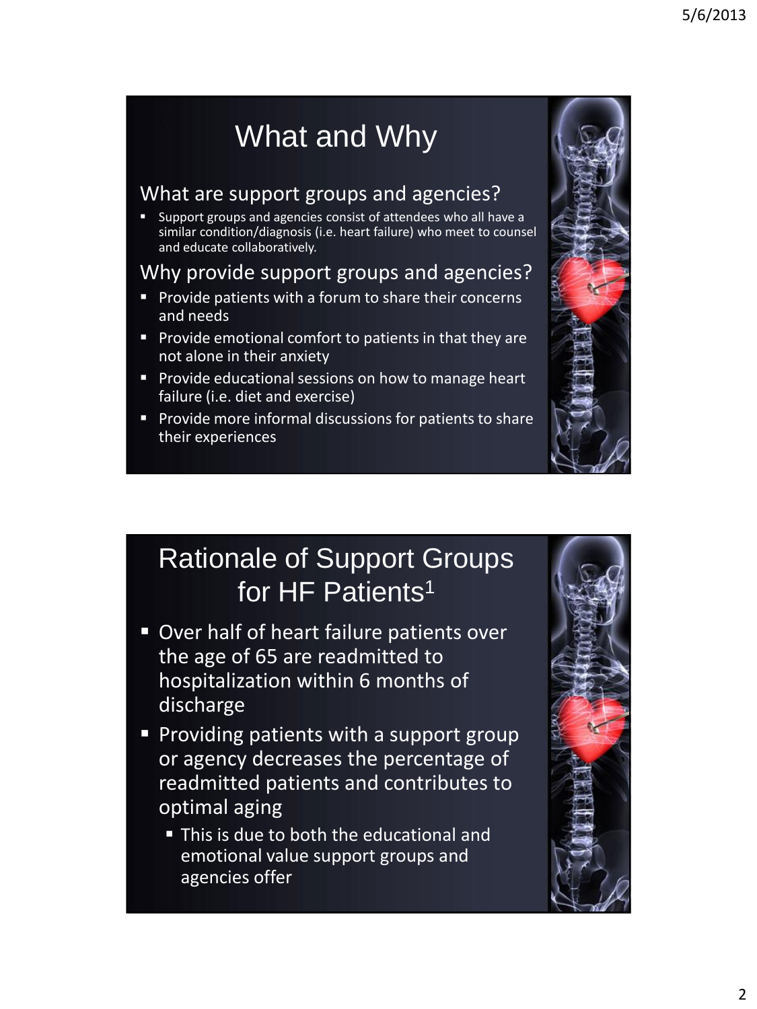# What and Why

#### What are support groups and agencies?

 Support groups and agencies consist of attendees who all have a similar condition/diagnosis (i.e. heart failure) who meet to counsel and educate collaboratively.

#### Why provide support groups and agencies?

- **Provide patients with a forum to share their concerns** and needs
- **Provide emotional comfort to patients in that they are** not alone in their anxiety
- **Provide educational sessions on how to manage heart** failure (i.e. diet and exercise)
- **Provide more informal discussions for patients to share** their experiences



## Rationale of Support Groups for HF Patients<sup>1</sup>

- **D** Over half of heart failure patients over the age of 65 are readmitted to hospitalization within 6 months of discharge
- **Providing patients with a support group** or agency decreases the percentage of readmitted patients and contributes to optimal aging
	- This is due to both the educational and emotional value support groups and agencies offer

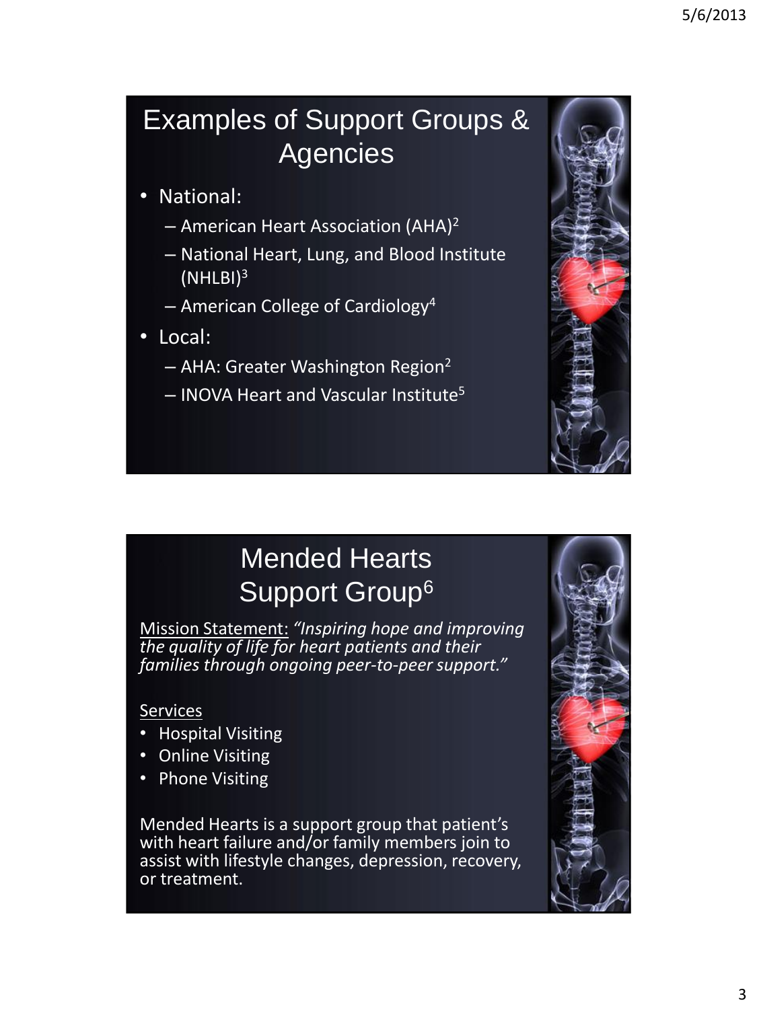### Examples of Support Groups & Agencies

- National:
	- American Heart Association (AHA)<sup>2</sup>
	- National Heart, Lung, and Blood Institute (NHLBI)<sup>3</sup>
	- $-$  American College of Cardiology<sup>4</sup>
- Local:
	- AHA: Greater Washington Region<sup>2</sup>
	- $-$  INOVA Heart and Vascular Institute<sup>5</sup>



## Mended Hearts Support Group<sup>6</sup>

Mission Statement: *"Inspiring hope and improving the quality of life for heart patients and their families through ongoing peer-to-peer support."*

#### **Services**

- Hospital Visiting
- Online Visiting
- Phone Visiting

Mended Hearts is a support group that patient's with heart failure and/or family members join to assist with lifestyle changes, depression, recovery, or treatment.

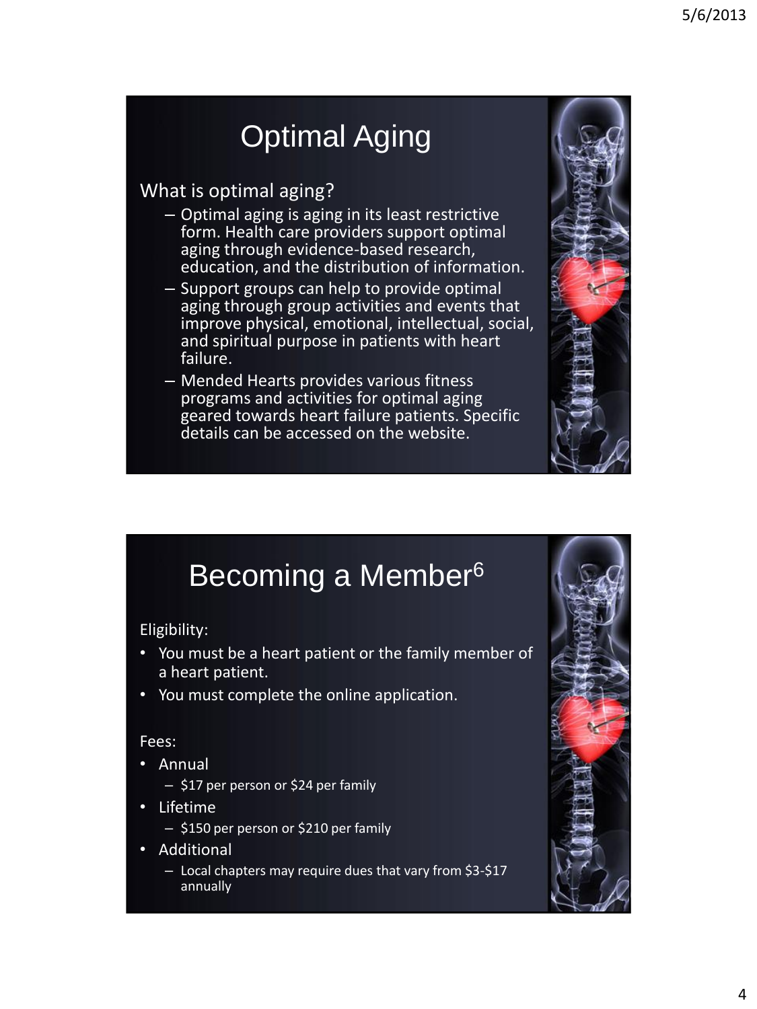# Optimal Aging

#### What is optimal aging?

- Optimal aging is aging in its least restrictive form. Health care providers support optimal aging through evidence-based research, education, and the distribution of information.
- Support groups can help to provide optimal aging through group activities and events that improve physical, emotional, intellectual, social, and spiritual purpose in patients with heart failure.
- Mended Hearts provides various fitness programs and activities for optimal aging geared towards heart failure patients. Specific details can be accessed on the website.



## Becoming a Member<sup>6</sup>

Eligibility:

- You must be a heart patient or the family member of a heart patient.
- You must complete the online application.

#### Fees:

- Annual
	- \$17 per person or \$24 per family
- Lifetime
	- \$150 per person or \$210 per family
- Additional
	- Local chapters may require dues that vary from \$3-\$17 annually

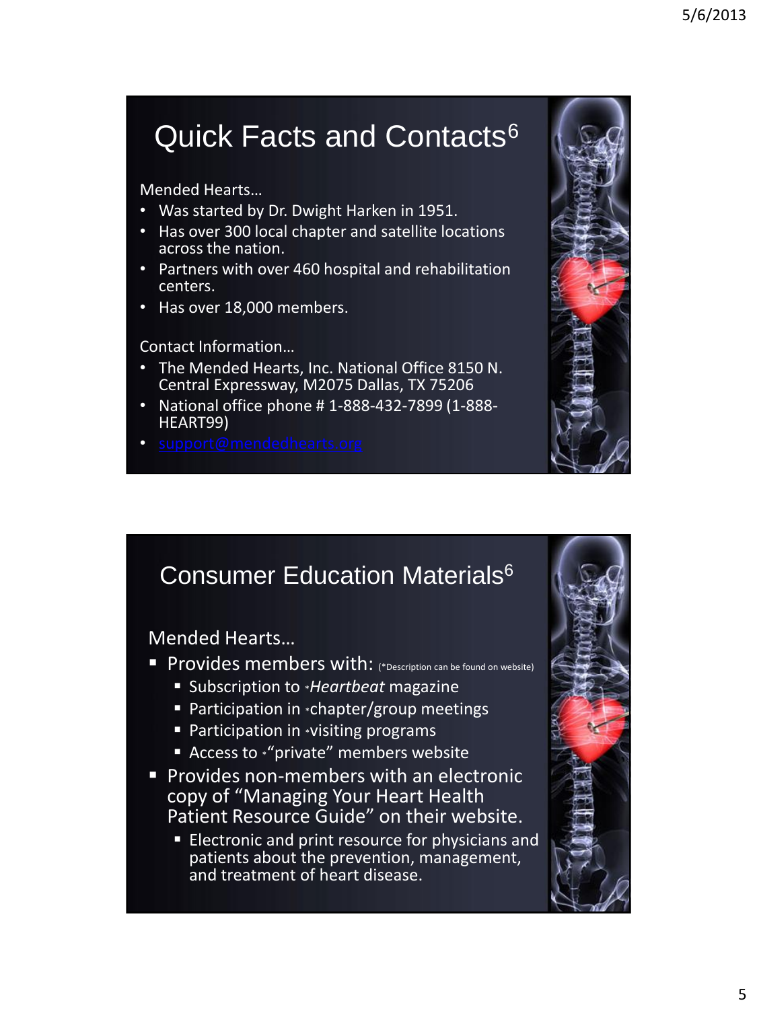# Quick Facts and Contacts<sup>6</sup>

Mended Hearts…

- Was started by Dr. Dwight Harken in 1951.
- Has over 300 local chapter and satellite locations across the nation.
- Partners with over 460 hospital and rehabilitation centers.
- Has over 18,000 members.

#### Contact Information…

- The Mended Hearts, Inc. National Office 8150 N. Central Expressway, M2075 Dallas, TX 75206
- National office phone # 1-888-432-7899 (1-888- HEART99)
- 



#### **Consumer Education Materials<sup>6</sup>**

Mended Hearts…

- **Provides members with:** (\*Description can be found on website),
	- Subscription to \**Heartbeat* magazine
	- Participation in \*chapter/group meetings
	- **Participation in \*visiting programs**
	- Access to \*"private" members website
- **Provides non-members with an electronic** copy of "Managing Your Heart Health Patient Resource Guide" on their website.
	- **Electronic and print resource for physicians and** patients about the prevention, management, and treatment of heart disease.

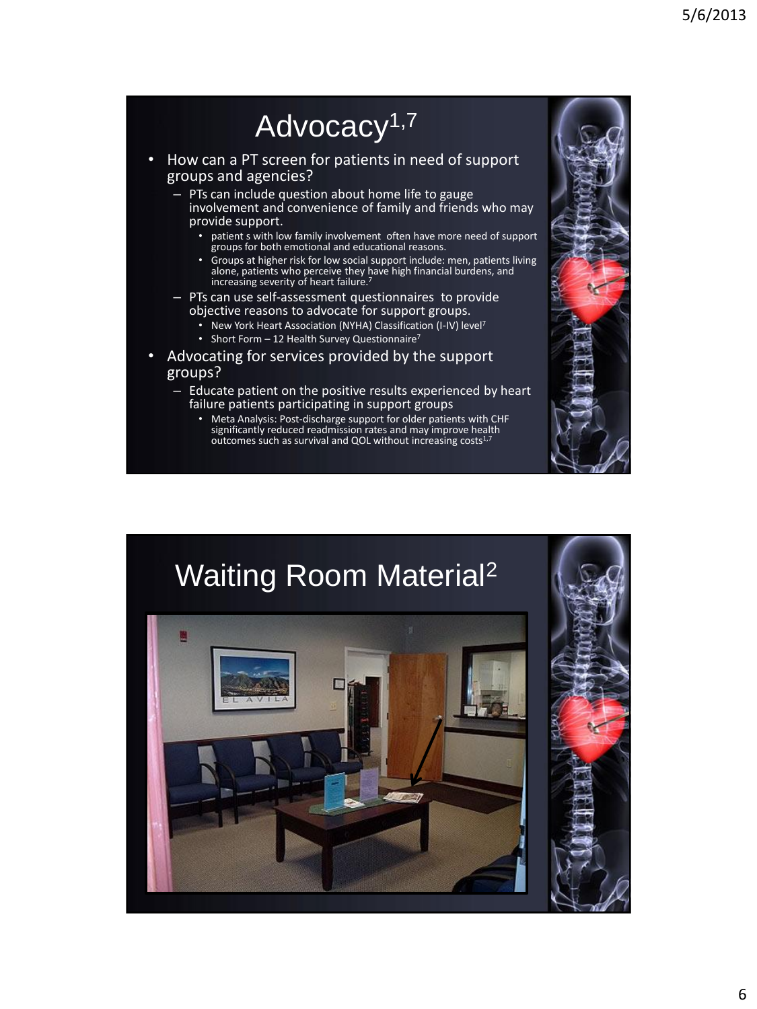## Advocacy<sup>1,7</sup>

• How can a PT screen for patients in need of support groups and agencies?

– PTs can include question about home life to gauge involvement and convenience of family and friends who may provide support.

- patient s with low family involvement often have more need of support groups for both emotional and educational reasons.
- Groups at higher risk for low social support include: men, patients living alone, patients who perceive they have high financial burdens, and increasing severity of heart failure.<sup>7</sup>

– PTs can use self-assessment questionnaires to provide objective reasons to advocate for support groups.

- New York Heart Association (NYHA) Classification (I-IV) level<sup>7</sup>
- Short Form 12 Health Survey Questionnaire<sup>7</sup>
- Advocating for services provided by the support groups?
	- Educate patient on the positive results experienced by heart failure patients participating in support groups
		- Meta Analysis: Post-discharge support for older patients with CHF significantly reduced readmission rates and may improve health outcomes such as survival and QOL without increasing costs $1,7$



# Waiting Room Material2